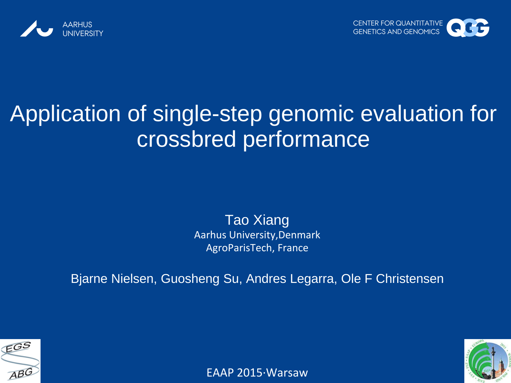



## Application of single-step genomic evaluation for crossbred performance

Tao Xiang Aarhus University,Denmark AgroParisTech, France

Bjarne Nielsen, Guosheng Su, Andres Legarra, Ole F Christensen





EAAP 2015∙Warsaw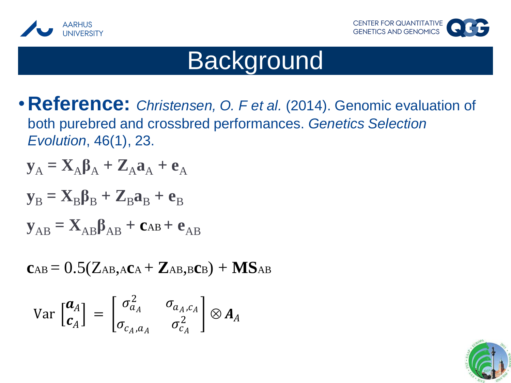



## **Background**

•**Reference:** *Christensen, O. F et al.* (2014). Genomic evaluation of both purebred and crossbred performances. *Genetics Selection Evolution*, 46(1), 23.

$$
\mathbf{y}_{A} = \mathbf{X}_{A}\mathbf{\beta}_{A} + \mathbf{Z}_{A}\mathbf{a}_{A} + \mathbf{e}_{A}
$$

$$
\mathbf{y}_{B} = \mathbf{X}_{B}\boldsymbol{\beta}_{B} + \mathbf{Z}_{B}\mathbf{a}_{B} + \mathbf{e}_{B}
$$

$$
\mathbf{y}_{AB} = \mathbf{X}_{AB}\boldsymbol{\beta}_{AB} + \mathbf{c}_{AB} + \mathbf{e}_{AB}
$$

$$
c_{AB} = 0.5(Z_{AB,ACA} + Z_{AB,B}c_B) + MS_{AB}
$$

$$
\text{Var}\begin{bmatrix} \boldsymbol{a}_A \\ \boldsymbol{c}_A \end{bmatrix} = \begin{bmatrix} \sigma_{a_A}^2 & \sigma_{a_A, c_A} \\ \sigma_{c_A, a_A} & \sigma_{c_A}^2 \end{bmatrix} \otimes \boldsymbol{A}_A
$$

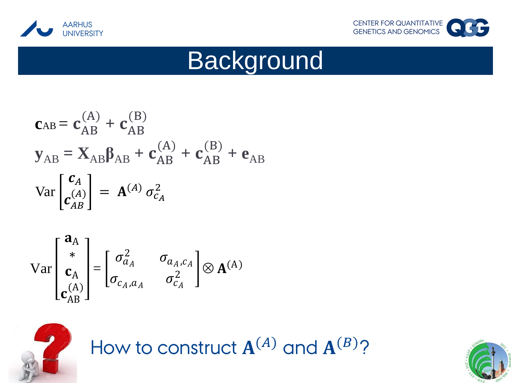



# **Background**

$$
\mathbf{c}_{AB} = \mathbf{c}_{AB}^{(A)} + \mathbf{c}_{AB}^{(B)}
$$
  
\n
$$
\mathbf{y}_{AB} = \mathbf{X}_{AB}\boldsymbol{\beta}_{AB} + \mathbf{c}_{AB}^{(A)} + \mathbf{c}_{AB}^{(B)} + \mathbf{e}_{AB}
$$
  
\n
$$
\text{Var}\begin{bmatrix} \mathbf{c}_A \\ \mathbf{c}_{AB}^{(A)} \end{bmatrix} = \mathbf{A}^{(A)} \sigma_{c_A}^2
$$

$$
\mathbf{Var}\begin{bmatrix} \mathbf{a}_{A} \\ \mathbf{c}_{A} \\ \mathbf{c}_{AB} \end{bmatrix} = \begin{bmatrix} \sigma_{a_A}^2 & \sigma_{a_A, c_A} \\ \sigma_{c_A, a_A} & \sigma_{c_A}^2 \end{bmatrix} \otimes \mathbf{A}^{(A)}
$$



How to construct  $A^{(A)}$  and  $A^{(B)}$ ?

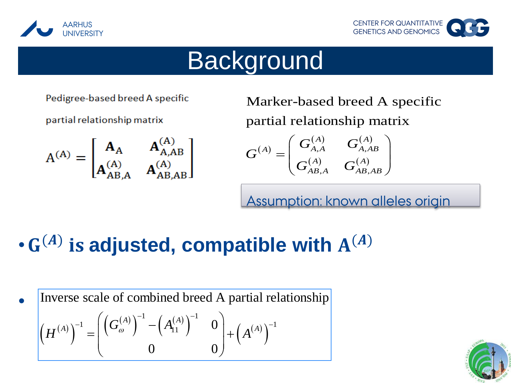



## **Background**

Pedigree-based breed A specific

partial relationship matrix

 $A^{(A)} = \begin{bmatrix} A_A & A_{A,AB}^{(A)} \\ A_{AB}^{(A)} & A_{AB}^{(A)} \end{bmatrix}$ 

Marker-based breed A specific partial relationship matrix

partial relationship matrix  
\n
$$
G^{(A)} = \begin{pmatrix} G_{A,A}^{(A)} & G_{A,AB}^{(A)} \\ G_{AB,A}^{(A)} & G_{AB,AB}^{(A)} \end{pmatrix}
$$

Assumption: known alleles origin

## $\cdot$  G<sup>(A)</sup> is adjusted, compatible with  $A^{(A)}$

•  $\left(H^{(A)}\right)$  $\left(G_\omega^{(A)}\right)^{-1} - \left(A_{11}^{(A)}\right)^{-1} = 0$  $(A^{(A)})$ mbined bre<br> $\frac{1}{(1-(A))^2}$  $\begin{pmatrix} 1 \\ -\left( G_{\omega}^{(A)} \right)^{-1} - \left( A_{11}^{(A)} \right)^{-1} & 0 \\ 0 & 0 \end{pmatrix} + \left( A^{(A)} \right)^{-1}$ Inverse scale of combined breed A partial relationship  $A)$ <sup>-1</sup> -  $A^{(A)}$ mverse scale of combined breed A partia<br>  $H^{(A)}\Big)^{-1} = \left( \left( G_{\omega}^{(A)} \right)^{-1} - \left( A_{11}^{(A)} \right)^{-1} \right) 0 + \left( A^{(A)} \right)$ e scale of combined breed A partial relation cale of combined breed A partial re<br>  $= \left( \left( G_{\omega}^{(A)} \right)^{-1} - \left( A_{11}^{(A)} \right)^{-1} \right) 0 + \left( A^{(A)} \right)^{-1}$ 

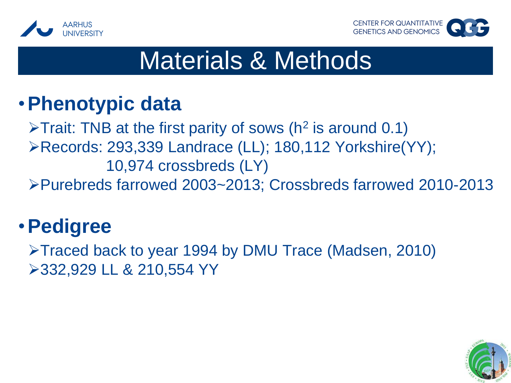



#### •**Phenotypic data**

 $\triangleright$ Trait: TNB at the first parity of sows (h<sup>2</sup> is around 0.1) Records: 293,339 Landrace (LL); 180,112 Yorkshire(YY); 10,974 crossbreds (LY) Purebreds farrowed 2003~2013; Crossbreds farrowed 2010-2013

### •**Pedigree**

Traced back to year 1994 by DMU Trace (Madsen, 2010) 332,929 LL & 210,554 YY

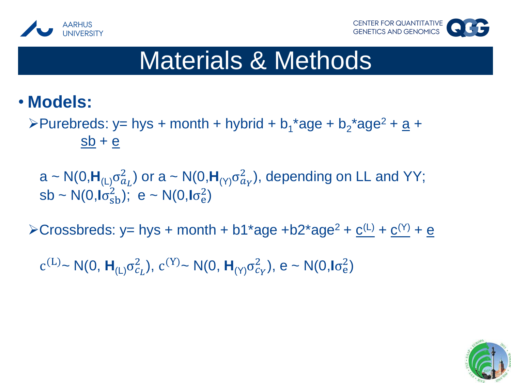



#### • **Models:**

>Purebreds: y= hys + month + hybrid +  $b_1$ <sup>\*</sup>age +  $b_2$ <sup>\*</sup>age<sup>2</sup> + <u>a</u> +  $sb + e$ 

a ~ N(0, $H_{(L)}\sigma_{a_L}^2$ ) or a ~ N(0, $H_{(Y)}\sigma_{a_Y}^2$ ), depending on LL and YY; sb ~ N(0, $I\sigma_{\rm sb}^2$ ); e ~ N(0, $I\sigma_{\rm e}^2$ )

 $\triangle$ Crossbreds: y= hys + month + b1\*age +b2\*age<sup>2</sup> + <u>c<sup>(L)</sup></u> + c<sup>(Y)</sup> + e

c<sup>(L)</sup>~ N(0,  $H_{(L)}\sigma_{c_L}^2$ ), c<sup>(Y)</sup>~ N(0,  $H_{(Y)}\sigma_{c_Y}^2$ ), e ~ N(0,  $I\sigma_e^2$ )

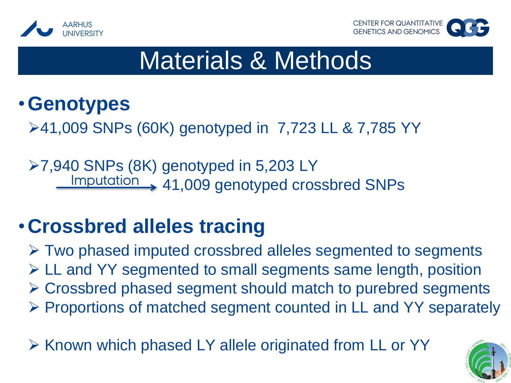



#### •**Genotypes**

41,009 SNPs (60K) genotyped in 7,723 LL & 7,785 YY

**≻7,940 SNPs (8K) genotyped in 5,203 LY** Imputation > 41,009 genotyped crossbred SNPs

## •**Crossbred alleles tracing**

 Two phased imputed crossbred alleles segmented to segments LL and YY segmented to small segments same length, position Crossbred phased segment should match to purebred segments  $\triangleright$  Proportions of matched segment counted in LL and YY separately

 $\triangleright$  Known which phased LY allele originated from LL or YY

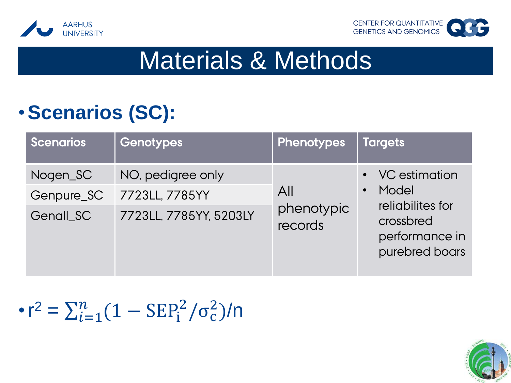



## •**Scenarios (SC):**

| <b>Scenarios</b> | <b>Genotypes</b>       | <b>Phenotypes</b>            | <b>Targets</b>                                                                                |
|------------------|------------------------|------------------------------|-----------------------------------------------------------------------------------------------|
| Nogen_SC         | NO, pedigree only      | All<br>phenotypic<br>records | • VC estimation<br>Model<br>reliabilites for<br>crossbred<br>performance in<br>purebred boars |
| Genpure_SC       | 7723LL, 7785YY         |                              |                                                                                               |
| Genall SC        | 7723LL, 7785YY, 5203LY |                              |                                                                                               |

#### •  $r^2 = \sum_{i=1}^n (1 - \text{SEP}_i^2 / \sigma_c^2)$  $\frac{n}{i=1}(1 - \text{SEP}_{i}^{2}/\sigma_{c}^{2})/n$

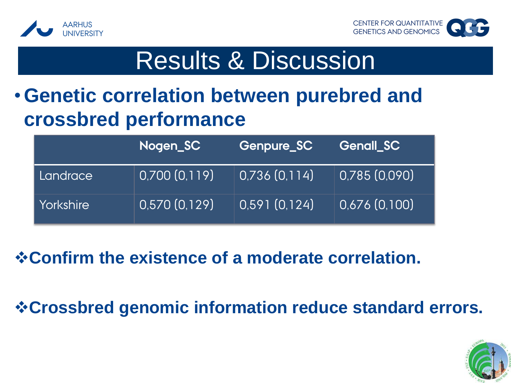



# Results & Discussion

#### •**Genetic correlation between purebred and crossbred performance**

|              | Nogen_SC     | Genpure_SC     | <b>Genall_SC</b> |
|--------------|--------------|----------------|------------------|
| Landrace     | 0,700(0,119) | (0,736(0,114)) | 0,785(0,090)     |
| l Yorkshire' | 0,570(0,129) | 0,591(0,124)   | 0,676(0,100)     |

#### **Confirm the existence of a moderate correlation.**

**Crossbred genomic information reduce standard errors.**

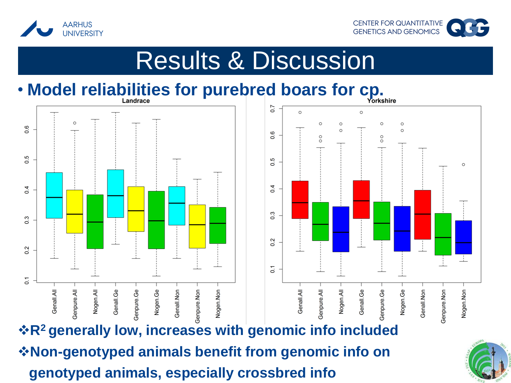



## Results & Discussion

## • **Model reliabilities for purebred boars for cp.**



**R<sup>2</sup>generally low, increases with genomic info included Non-genotyped animals benefit from genomic info on genotyped animals, especially crossbred info** 

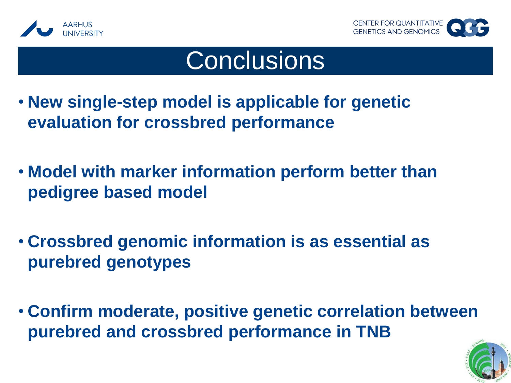



## **Conclusions**

- **New single-step model is applicable for genetic evaluation for crossbred performance**
- **Model with marker information perform better than pedigree based model**
- **Crossbred genomic information is as essential as purebred genotypes**
- **Confirm moderate, positive genetic correlation between purebred and crossbred performance in TNB**